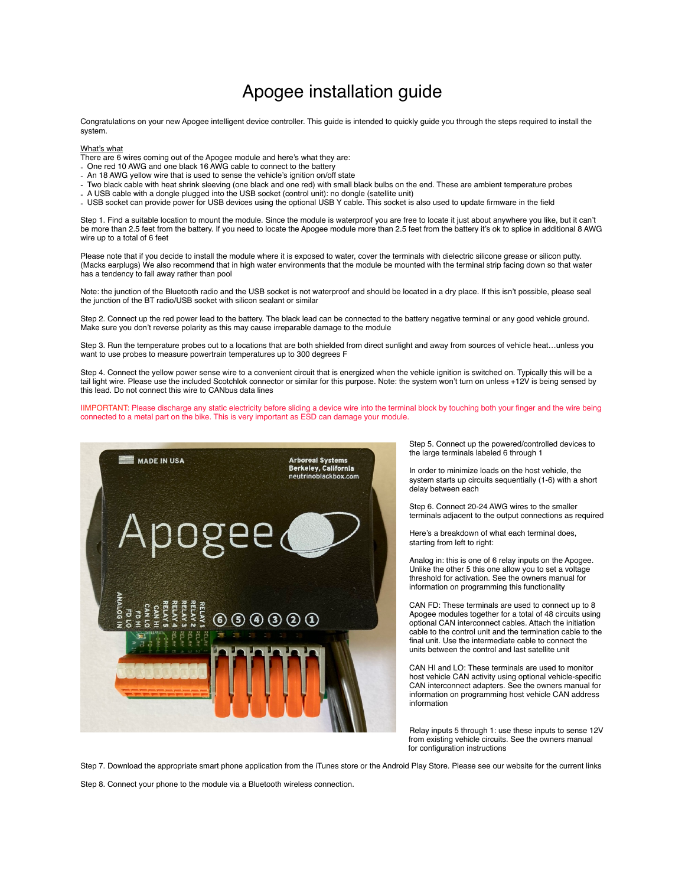## Apogee installation guide

Congratulations on your new Apogee intelligent device controller. This guide is intended to quickly guide you through the steps required to install the system.

## What's what

There are 6 wires coming out of the Apogee module and here's what they are:

- One red 10 AWG and one black 16 AWG cable to connect to the battery
- An 18 AWG yellow wire that is used to sense the vehicle's ignition on/off state
- Two black cable with heat shrink sleeving (one black and one red) with small black bulbs on the end. These are ambient temperature probes
- A USB cable with a dongle plugged into the USB socket (control unit): no dongle (satellite unit)
- USB socket can provide power for USB devices using the optional USB Y cable. This socket is also used to update firmware in the field

Step 1. Find a suitable location to mount the module. Since the module is waterproof you are free to locate it just about anywhere you like, but it can't be more than 2.5 feet from the battery. If you need to locate the Apogee module more than 2.5 feet from the battery it's ok to splice in additional 8 AWG wire up to a total of 6 feet

Please note that if you decide to install the module where it is exposed to water, cover the terminals with dielectric silicone grease or silicon putty. (Macks earplugs) We also recommend that in high water environments that the module be mounted with the terminal strip facing down so that water has a tendency to fall away rather than pool

Note: the junction of the Bluetooth radio and the USB socket is not waterproof and should be located in a dry place. If this isn't possible, please seal the junction of the BT radio/USB socket with silicon sealant or similar

Step 2. Connect up the red power lead to the battery. The black lead can be connected to the battery negative terminal or any good vehicle ground. Make sure you don't reverse polarity as this may cause irreparable damage to the module

Step 3. Run the temperature probes out to a locations that are both shielded from direct sunlight and away from sources of vehicle heat…unless you want to use probes to measure powertrain temperatures up to 300 degrees F

Step 4. Connect the yellow power sense wire to a convenient circuit that is energized when the vehicle ignition is switched on. Typically this will be a tail light wire. Please use the included Scotchlok connector or similar for this purpose. Note: the system won't turn on unless +12V is being sensed by this lead. Do not connect this wire to CANbus data lines

IIMPORTANT: Please discharge any static electricity before sliding a device wire into the terminal block by touching both your finger and the wire being connected to a metal part on the bike. This is very important as ESD can damage your module.



Step 5. Connect up the powered/controlled devices to the large terminals labeled 6 through 1

In order to minimize loads on the host vehicle, the system starts up circuits sequentially (1-6) with a short delay between each

Step 6. Connect 20-24 AWG wires to the smaller terminals adjacent to the output connections as required

Here's a breakdown of what each terminal does, starting from left to right:

Analog in: this is one of 6 relay inputs on the Apogee. Unlike the other 5 this one allow you to set a voltage threshold for activation. See the owners manual for information on programming this functionality

CAN FD: These terminals are used to connect up to 8 Apogee modules together for a total of 48 circuits using optional CAN interconnect cables. Attach the initiation cable to the control unit and the termination cable to the final unit. Use the intermediate cable to connect the units between the control and last satellite unit

CAN HI and LO: These terminals are used to monitor host vehicle CAN activity using optional vehicle-specific CAN interconnect adapters. See the owners manual for information on programming host vehicle CAN address information

Relay inputs 5 through 1: use these inputs to sense 12V from existing vehicle circuits. See the owners manual for configuration instructions

Step 7. Download the appropriate smart phone application from the iTunes store or the Android Play Store. Please see our website for the current links

Step 8. Connect your phone to the module via a Bluetooth wireless connection.